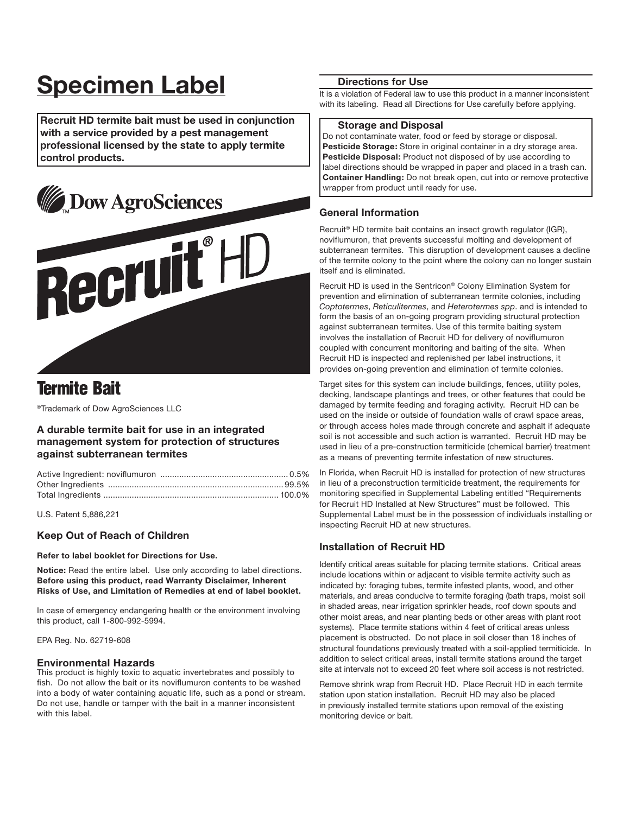# **Specimen Label**

**Recruit HD termite bait must be used in conjunction with a service provided by a pest management professional licensed by the state to apply termite control products.**



# **Termite Bait**

®Trademark of Dow AgroSciences LLC

# **A durable termite bait for use in an integrated management system for protection of structures against subterranean termites**

U.S. Patent 5,886,221

# **Keep Out of Reach of Children**

**Refer to label booklet for Directions for Use.**

**Notice:** Read the entire label. Use only according to label directions. **Before using this product, read Warranty Disclaimer, Inherent Risks of Use, and Limitation of Remedies at end of label booklet.**

In case of emergency endangering health or the environment involving this product, call 1-800-992-5994.

EPA Reg. No. 62719-608

#### **Environmental Hazards**

This product is highly toxic to aquatic invertebrates and possibly to fish. Do not allow the bait or its noviflumuron contents to be washed into a body of water containing aquatic life, such as a pond or stream. Do not use, handle or tamper with the bait in a manner inconsistent with this label.

## **Directions for Use**

It is a violation of Federal law to use this product in a manner inconsistent with its labeling. Read all Directions for Use carefully before applying.

#### **Storage and Disposal**

Do not contaminate water, food or feed by storage or disposal. **Pesticide Storage:** Store in original container in a dry storage area. **Pesticide Disposal:** Product not disposed of by use according to label directions should be wrapped in paper and placed in a trash can. **Container Handling:** Do not break open, cut into or remove protective wrapper from product until ready for use.

# **General Information**

Recruit® HD termite bait contains an insect growth regulator (IGR), noviflumuron, that prevents successful molting and development of subterranean termites. This disruption of development causes a decline of the termite colony to the point where the colony can no longer sustain itself and is eliminated.

Recruit HD is used in the Sentricon® Colony Elimination System for prevention and elimination of subterranean termite colonies, including *Coptotermes*, *Reticulitermes*, and *Heterotermes spp*. and is intended to form the basis of an on-going program providing structural protection against subterranean termites. Use of this termite baiting system involves the installation of Recruit HD for delivery of noviflumuron coupled with concurrent monitoring and baiting of the site. When Recruit HD is inspected and replenished per label instructions, it provides on-going prevention and elimination of termite colonies.

Target sites for this system can include buildings, fences, utility poles, decking, landscape plantings and trees, or other features that could be damaged by termite feeding and foraging activity. Recruit HD can be used on the inside or outside of foundation walls of crawl space areas, or through access holes made through concrete and asphalt if adequate soil is not accessible and such action is warranted. Recruit HD may be used in lieu of a pre-construction termiticide (chemical barrier) treatment as a means of preventing termite infestation of new structures.

In Florida, when Recruit HD is installed for protection of new structures in lieu of a preconstruction termiticide treatment, the requirements for monitoring specified in Supplemental Labeling entitled "Requirements for Recruit HD Installed at New Structures" must be followed. This Supplemental Label must be in the possession of individuals installing or inspecting Recruit HD at new structures.

# **Installation of Recruit HD**

Identify critical areas suitable for placing termite stations. Critical areas include locations within or adjacent to visible termite activity such as indicated by: foraging tubes, termite infested plants, wood, and other materials, and areas conducive to termite foraging (bath traps, moist soil in shaded areas, near irrigation sprinkler heads, roof down spouts and other moist areas, and near planting beds or other areas with plant root systems). Place termite stations within 4 feet of critical areas unless placement is obstructed. Do not place in soil closer than 18 inches of structural foundations previously treated with a soil-applied termiticide. In addition to select critical areas, install termite stations around the target site at intervals not to exceed 20 feet where soil access is not restricted.

Remove shrink wrap from Recruit HD. Place Recruit HD in each termite station upon station installation. Recruit HD may also be placed in previously installed termite stations upon removal of the existing monitoring device or bait.